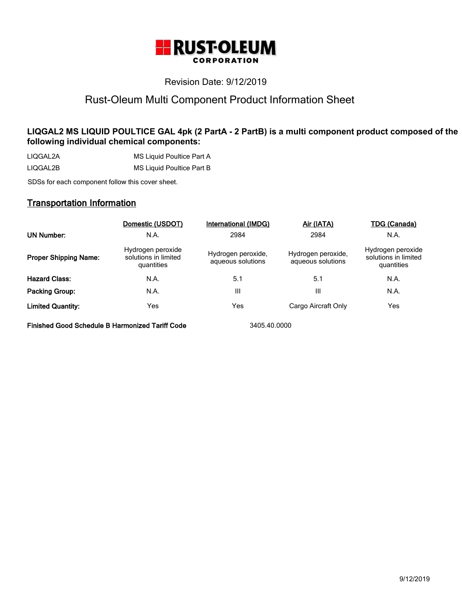

# Revision Date: 9/12/2019

# Rust-Oleum Multi Component Product Information Sheet

# **LIQGAL2 MS LIQUID POULTICE GAL 4pk (2 PartA - 2 PartB) is a multi component product composed of the following individual chemical components:**

LIQGAL2A MS Liquid Poultice Part A LIQGAL2B MS Liquid Poultice Part B

SDSs for each component follow this cover sheet.

# **Transportation Information**

|                              | Domestic (USDOT)                                        | International (IMDG)                    | <u>Air (IATA)</u>                       | TDG (Canada)                                            |
|------------------------------|---------------------------------------------------------|-----------------------------------------|-----------------------------------------|---------------------------------------------------------|
| <b>UN Number:</b>            | N.A.                                                    | 2984                                    | 2984                                    | N.A.                                                    |
| <b>Proper Shipping Name:</b> | Hydrogen peroxide<br>solutions in limited<br>quantities | Hydrogen peroxide,<br>aqueous solutions | Hydrogen peroxide,<br>aqueous solutions | Hydrogen peroxide<br>solutions in limited<br>quantities |
| <b>Hazard Class:</b>         | N.A.                                                    | 5.1                                     | 5.1                                     | N.A.                                                    |
| Packing Group:               | N.A.                                                    | Ш                                       | Ш                                       | N.A.                                                    |
| <b>Limited Quantity:</b>     | Yes                                                     | Yes                                     | Cargo Aircraft Only                     | Yes                                                     |

**Finished Good Schedule B Harmonized Tariff Code** 3405.40.0000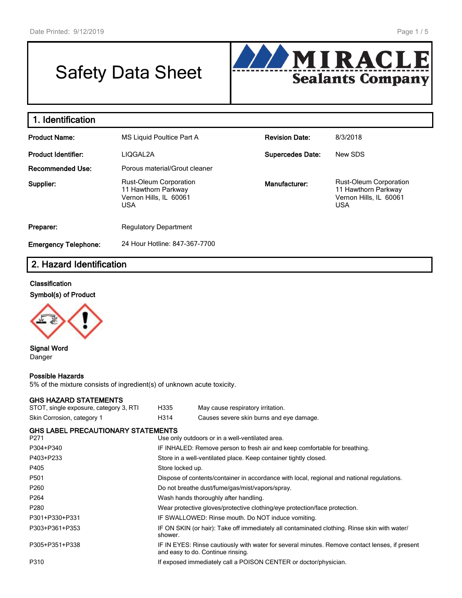# Safety Data Sheet



### **1. Identification Product Name:** MS Liquid Poultice Part A **Revision Date:** 8/3/2018 **Product Identifier:** LIQGAL2A **Supercedes Date:** New SDS **Recommended Use:** Porous material/Grout cleaner **Supplier:** Rust-Oleum Corporation 11 Hawthorn Parkway Vernon Hills, IL 60061 USA **Manufacturer:** Rust-Oleum Corporation 11 Hawthorn Parkway Vernon Hills, IL 60061 USA **Preparer:** Regulatory Department **Emergency Telephone:** 24 Hour Hotline: 847-367-7700

# **2. Hazard Identification**

### **Classification**

**Symbol(s) of Product**



**Signal Word** Danger

### **Possible Hazards**

5% of the mixture consists of ingredient(s) of unknown acute toxicity.

### **GHS HAZARD STATEMENTS**

| STOT, single exposure, category 3, RTI | H335 | May cause respiratory irritation.        |
|----------------------------------------|------|------------------------------------------|
| Skin Corrosion, category 1             | H314 | Causes severe skin burns and eye damage. |

### **GHS LABEL PRECAUTIONARY STATEMENTS**

| P <sub>271</sub> | Use only outdoors or in a well-ventilated area.                                                                                     |
|------------------|-------------------------------------------------------------------------------------------------------------------------------------|
| P304+P340        | IF INHALED: Remove person to fresh air and keep comfortable for breathing.                                                          |
| P403+P233        | Store in a well-ventilated place. Keep container tightly closed.                                                                    |
| P405             | Store locked up.                                                                                                                    |
| P501             | Dispose of contents/container in accordance with local, regional and national regulations.                                          |
| P260             | Do not breathe dust/fume/gas/mist/vapors/spray.                                                                                     |
| P <sub>264</sub> | Wash hands thoroughly after handling.                                                                                               |
| P280             | Wear protective gloves/protective clothing/eye protection/face protection.                                                          |
| P301+P330+P331   | IF SWALLOWED: Rinse mouth. Do NOT induce vomiting.                                                                                  |
| P303+P361+P353   | IF ON SKIN (or hair): Take off immediately all contaminated clothing. Rinse skin with water/<br>shower.                             |
| P305+P351+P338   | IF IN EYES: Rinse cautiously with water for several minutes. Remove contact lenses, if present<br>and easy to do. Continue rinsing. |
| P310             | If exposed immediately call a POISON CENTER or doctor/physician.                                                                    |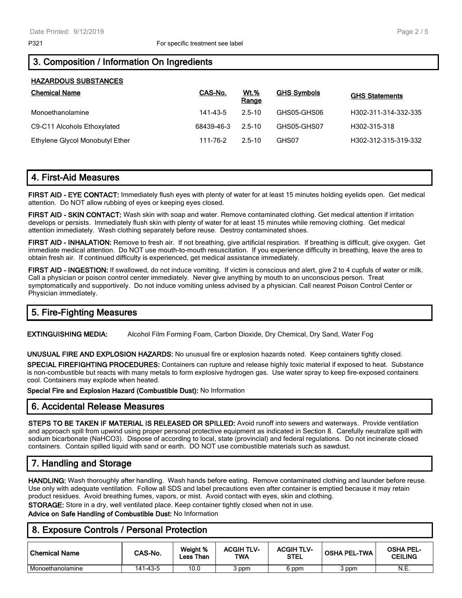# **3. Composition / Information On Ingredients**

### **HAZARDOUS SUBSTANCES**

| <b>Chemical Name</b>            | CAS-No.    | <u>Wt.%</u><br>Range | <b>GHS Symbols</b> | <b>GHS Statements</b> |
|---------------------------------|------------|----------------------|--------------------|-----------------------|
| Monoethanolamine                | 141-43-5   | 2.5-10               | GHS05-GHS06        | H302-311-314-332-335  |
| C9-C11 Alcohols Ethoxylated     | 68439-46-3 | 2.5-10               | GHS05-GHS07        | H302-315-318          |
| Ethylene Glycol Monobutyl Ether | 111-76-2   | 2.5-10               | GHS07              | H302-312-315-319-332  |

# **4. First-Aid Measures**

**FIRST AID - EYE CONTACT:** Immediately flush eyes with plenty of water for at least 15 minutes holding eyelids open. Get medical attention. Do NOT allow rubbing of eyes or keeping eyes closed.

**FIRST AID - SKIN CONTACT:** Wash skin with soap and water. Remove contaminated clothing. Get medical attention if irritation develops or persists. Immediately flush skin with plenty of water for at least 15 minutes while removing clothing. Get medical attention immediately. Wash clothing separately before reuse. Destroy contaminated shoes.

**FIRST AID - INHALATION:** Remove to fresh air. If not breathing, give artificial respiration. If breathing is difficult, give oxygen. Get immediate medical attention. Do NOT use mouth-to-mouth resuscitation. If you experience difficulty in breathing, leave the area to obtain fresh air. If continued difficulty is experienced, get medical assistance immediately.

**FIRST AID - INGESTION:** If swallowed, do not induce vomiting. If victim is conscious and alert, give 2 to 4 cupfuls of water or milk. Call a physician or poison control center immediately. Never give anything by mouth to an unconscious person. Treat symptomatically and supportively. Do not induce vomiting unless advised by a physician. Call nearest Poison Control Center or Physician immediately.

# **5. Fire-Fighting Measures**

**EXTINGUISHING MEDIA:** Alcohol Film Forming Foam, Carbon Dioxide, Dry Chemical, Dry Sand, Water Fog

**UNUSUAL FIRE AND EXPLOSION HAZARDS:** No unusual fire or explosion hazards noted. Keep containers tightly closed.

**SPECIAL FIREFIGHTING PROCEDURES:** Containers can rupture and release highly toxic material if exposed to heat. Substance is non-combustible but reacts with many metals to form explosive hydrogen gas. Use water spray to keep fire-exposed containers cool. Containers may explode when heated.

**Special Fire and Explosion Hazard (Combustible Dust):** No Information

# **6. Accidental Release Measures**

**STEPS TO BE TAKEN IF MATERIAL IS RELEASED OR SPILLED:** Avoid runoff into sewers and waterways. Provide ventilation and approach spill from upwind using proper personal protective equipment as indicated in Section 8. Carefully neutralize spill with sodium bicarbonate (NaHCO3). Dispose of according to local, state (provincial) and federal regulations. Do not incinerate closed containers. Contain spilled liquid with sand or earth. DO NOT use combustible materials such as sawdust.

# **7. Handling and Storage**

**HANDLING:** Wash thoroughly after handling. Wash hands before eating. Remove contaminated clothing and launder before reuse. Use only with adequate ventilation. Follow all SDS and label precautions even after container is emptied because it may retain product residues. Avoid breathing fumes, vapors, or mist. Avoid contact with eyes, skin and clothing.

**STORAGE:** Store in a dry, well ventilated place. Keep container tightly closed when not in use.

**Advice on Safe Handling of Combustible Dust:** No Information

### **8. Exposure Controls / Personal Protection**

| l Chemical Name  | CAS-No.  | Weight %<br>Less Than | <b>ACGIH TLV-</b><br>TWA | <b>ACGIH TLV-</b><br><b>STEL</b> | <b>OSHA PEL-TWA</b> | <b>OSHA PEL-</b><br><b>CEILING</b> |
|------------------|----------|-----------------------|--------------------------|----------------------------------|---------------------|------------------------------------|
| Monoethanolamine | 141-43-5 | 10.0                  | ppm د                    | 6 ppm                            | , ppm               | N.E.                               |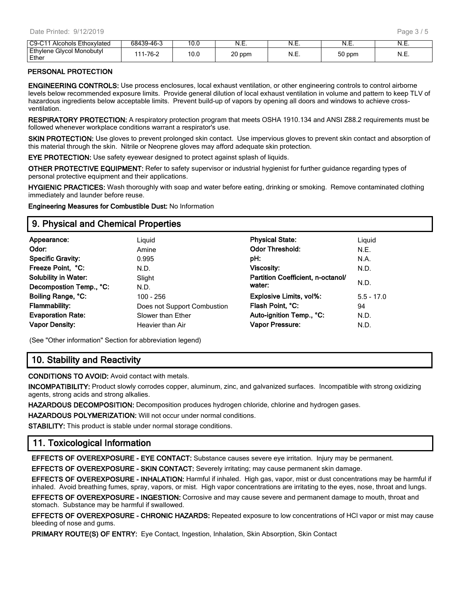| C9-C11<br>Alcohols Ethoxylated     | 68439-46-3 | 10.0 | ᠃           | N<br>. . ∟.                      | N<br>. | N.E.  |
|------------------------------------|------------|------|-------------|----------------------------------|--------|-------|
| Ethylene Glycol Monobutyl<br>Ether | 1-76-2     | 10.0 | ົ<br>20 ppm | $\overline{\phantom{a}}$<br>N.E. | 50 ppm | IN.E. |

### **PERSONAL PROTECTION**

**ENGINEERING CONTROLS:** Use process enclosures, local exhaust ventilation, or other engineering controls to control airborne levels below recommended exposure limits. Provide general dilution of local exhaust ventilation in volume and pattern to keep TLV of hazardous ingredients below acceptable limits. Prevent build-up of vapors by opening all doors and windows to achieve crossventilation.

**RESPIRATORY PROTECTION:** A respiratory protection program that meets OSHA 1910.134 and ANSI Z88.2 requirements must be followed whenever workplace conditions warrant a respirator's use.

**SKIN PROTECTION:** Use gloves to prevent prolonged skin contact. Use impervious gloves to prevent skin contact and absorption of this material through the skin. Nitrile or Neoprene gloves may afford adequate skin protection.

**EYE PROTECTION:** Use safety eyewear designed to protect against splash of liquids.

**OTHER PROTECTIVE EQUIPMENT:** Refer to safety supervisor or industrial hygienist for further guidance regarding types of personal protective equipment and their applications.

**HYGIENIC PRACTICES:** Wash thoroughly with soap and water before eating, drinking or smoking. Remove contaminated clothing immediately and launder before reuse.

**Engineering Measures for Combustible Dust:** No Information

# **9. Physical and Chemical Properties**

| Appearance:                 | Liguid                      | <b>Physical State:</b>            | Liguid       |
|-----------------------------|-----------------------------|-----------------------------------|--------------|
| Odor:                       | Amine                       | <b>Odor Threshold:</b>            | N.E.         |
| <b>Specific Gravity:</b>    | 0.995                       | pH:                               | N.A.         |
| Freeze Point. °C:           | N.D.                        | Viscosity:                        | N.D.         |
| <b>Solubility in Water:</b> | Slight                      | Partition Coefficient, n-octanol/ |              |
| Decompostion Temp., °C:     | N.D.                        | water:                            | N.D.         |
| Boiling Range, °C:          | $100 - 256$                 | Explosive Limits, vol%:           | $5.5 - 17.0$ |
| Flammability:               | Does not Support Combustion | Flash Point, °C:                  | 94           |
| <b>Evaporation Rate:</b>    | Slower than Ether           | Auto-ignition Temp., °C:          | N.D.         |
| <b>Vapor Density:</b>       | Heavier than Air            | <b>Vapor Pressure:</b>            | N.D.         |
|                             |                             |                                   |              |

(See "Other information" Section for abbreviation legend)

# **10. Stability and Reactivity**

**CONDITIONS TO AVOID:** Avoid contact with metals.

**INCOMPATIBILITY:** Product slowly corrodes copper, aluminum, zinc, and galvanized surfaces. Incompatible with strong oxidizing agents, strong acids and strong alkalies.

**HAZARDOUS DECOMPOSITION:** Decomposition produces hydrogen chloride, chlorine and hydrogen gases.

**HAZARDOUS POLYMERIZATION:** Will not occur under normal conditions.

**STABILITY:** This product is stable under normal storage conditions.

# **11. Toxicological Information**

**EFFECTS OF OVEREXPOSURE - EYE CONTACT:** Substance causes severe eye irritation. Injury may be permanent.

**EFFECTS OF OVEREXPOSURE - SKIN CONTACT:** Severely irritating; may cause permanent skin damage.

**EFFECTS OF OVEREXPOSURE - INHALATION:** Harmful if inhaled. High gas, vapor, mist or dust concentrations may be harmful if inhaled. Avoid breathing fumes, spray, vapors, or mist. High vapor concentrations are irritating to the eyes, nose, throat and lungs.

**EFFECTS OF OVEREXPOSURE - INGESTION:** Corrosive and may cause severe and permanent damage to mouth, throat and stomach. Substance may be harmful if swallowed.

**EFFECTS OF OVEREXPOSURE - CHRONIC HAZARDS:** Repeated exposure to low concentrations of HCl vapor or mist may cause bleeding of nose and gums.

**PRIMARY ROUTE(S) OF ENTRY:** Eye Contact, Ingestion, Inhalation, Skin Absorption, Skin Contact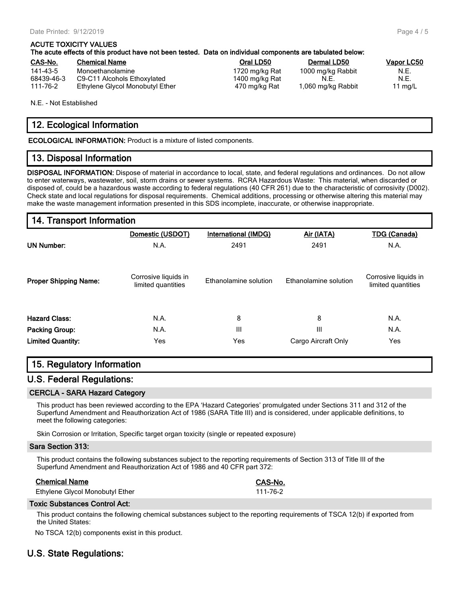#### **ACUTE TOXICITY VALUES**

**The acute effects of this product have not been tested. Data on individual components are tabulated below:**

| <u>CAS-No.</u> | <b>Chemical Name</b>            | Oral LD50      | Dermal LD50        | Vapor LC! |
|----------------|---------------------------------|----------------|--------------------|-----------|
| 141-43-5       | Monoethanolamine                | 1720 mg/kg Rat | 1000 mg/kg Rabbit  | N.E.      |
| 68439-46-3     | C9-C11 Alcohols Ethoxylated     | 1400 mg/kg Rat | N.E.               | N.E.      |
| 111-76-2       | Ethylene Glycol Monobutyl Ether | 470 mg/kg Rat  | 1,060 mg/kg Rabbit | 1 mg/L    |

**Casary CASE-No. 2018 IDENSITY CONTROLLY CONTROLLY AREA DETERMINATION CONTROLLY AREA DETAILS AND RESPONDENCE OF A LOCAL DETAILS AND RESPONDENCE OF A LOCAL DETAILS AND RESPONDENCE OF A LOCAL DETAILS AND RESPONDENCE OF A LOC** 

N.E. - Not Established

# **12. Ecological Information**

**ECOLOGICAL INFORMATION:** Product is a mixture of listed components.

### **13. Disposal Information**

**DISPOSAL INFORMATION:** Dispose of material in accordance to local, state, and federal regulations and ordinances. Do not allow to enter waterways, wastewater, soil, storm drains or sewer systems. RCRA Hazardous Waste: This material, when discarded or disposed of, could be a hazardous waste according to federal regulations (40 CFR 261) due to the characteristic of corrosivity (D002). Check state and local regulations for disposal requirements. Chemical additions, processing or otherwise altering this material may make the waste management information presented in this SDS incomplete, inaccurate, or otherwise inappropriate.

### **14. Transport Information**

|                              | Domestic (USDOT)                           | <b>International (IMDG)</b> | Air (IATA)            | <b>TDG (Canada)</b>                        |
|------------------------------|--------------------------------------------|-----------------------------|-----------------------|--------------------------------------------|
| <b>UN Number:</b>            | N.A.                                       | 2491                        | 2491                  | N.A.                                       |
| <b>Proper Shipping Name:</b> | Corrosive liquids in<br>limited quantities | Ethanolamine solution       | Ethanolamine solution | Corrosive liquids in<br>limited quantities |
| <b>Hazard Class:</b>         | N.A.                                       | 8                           | 8                     | N.A.                                       |
| <b>Packing Group:</b>        | N.A.                                       | III                         | III                   | N.A.                                       |
| <b>Limited Quantity:</b>     | Yes                                        | Yes                         | Cargo Aircraft Only   | Yes                                        |

### **15. Regulatory Information**

### **U.S. Federal Regulations:**

### **CERCLA - SARA Hazard Category**

This product has been reviewed according to the EPA 'Hazard Categories' promulgated under Sections 311 and 312 of the Superfund Amendment and Reauthorization Act of 1986 (SARA Title III) and is considered, under applicable definitions, to meet the following categories:

Skin Corrosion or Irritation, Specific target organ toxicity (single or repeated exposure)

#### **Sara Section 313:**

This product contains the following substances subject to the reporting requirements of Section 313 of Title III of the Superfund Amendment and Reauthorization Act of 1986 and 40 CFR part 372:

### **Chemical Name CAS-No.**

| Ethylene Glycol Monobutyl Ether | 111-76-2 |
|---------------------------------|----------|

#### **Toxic Substances Control Act:**

This product contains the following chemical substances subject to the reporting requirements of TSCA 12(b) if exported from the United States:

No TSCA 12(b) components exist in this product.

# **U.S. State Regulations:**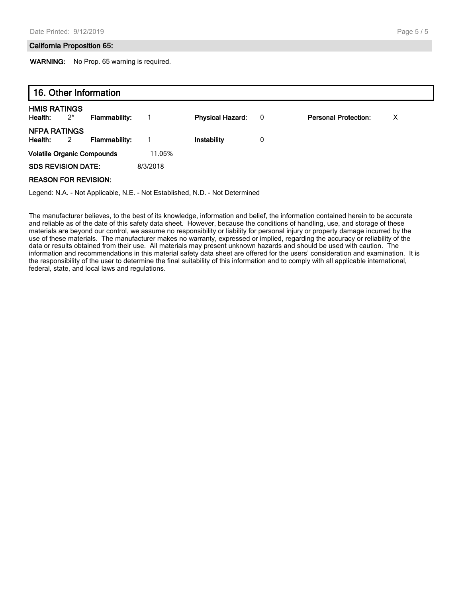#### **California Proposition 65:**

**WARNING:** No Prop. 65 warning is required.

| 16. Other Information             |                         |                      |  |                         |                          |                             |   |
|-----------------------------------|-------------------------|----------------------|--|-------------------------|--------------------------|-----------------------------|---|
| <b>HMIS RATINGS</b><br>Health:    | $2^*$                   | <b>Flammability:</b> |  | <b>Physical Hazard:</b> | $\overline{\phantom{0}}$ | <b>Personal Protection:</b> | Х |
| <b>NFPA RATINGS</b><br>Health:    | $\overline{\mathbf{2}}$ | <b>Flammability:</b> |  | Instability             | 0                        |                             |   |
| <b>Volatile Organic Compounds</b> |                         | 11.05%               |  |                         |                          |                             |   |
| <b>SDS REVISION DATE:</b>         |                         | 8/3/2018             |  |                         |                          |                             |   |
| <b>REASON FOR REVISION:</b>       |                         |                      |  |                         |                          |                             |   |

Legend: N.A. - Not Applicable, N.E. - Not Established, N.D. - Not Determined

The manufacturer believes, to the best of its knowledge, information and belief, the information contained herein to be accurate and reliable as of the date of this safety data sheet. However, because the conditions of handling, use, and storage of these materials are beyond our control, we assume no responsibility or liability for personal injury or property damage incurred by the use of these materials. The manufacturer makes no warranty, expressed or implied, regarding the accuracy or reliability of the data or results obtained from their use. All materials may present unknown hazards and should be used with caution. The information and recommendations in this material safety data sheet are offered for the users' consideration and examination. It is the responsibility of the user to determine the final suitability of this information and to comply with all applicable international, federal, state, and local laws and regulations.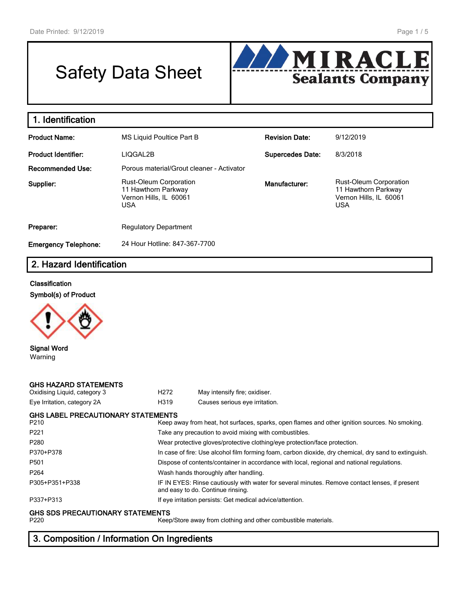# Safety Data Sheet



| 1. Identification           |                                                                                              |                         |                                                                                              |
|-----------------------------|----------------------------------------------------------------------------------------------|-------------------------|----------------------------------------------------------------------------------------------|
| <b>Product Name:</b>        | MS Liquid Poultice Part B                                                                    | <b>Revision Date:</b>   | 9/12/2019                                                                                    |
| <b>Product Identifier:</b>  | LIQGAL2B                                                                                     | <b>Supercedes Date:</b> | 8/3/2018                                                                                     |
| <b>Recommended Use:</b>     | Porous material/Grout cleaner - Activator                                                    |                         |                                                                                              |
| Supplier:                   | <b>Rust-Oleum Corporation</b><br>11 Hawthorn Parkway<br>Vernon Hills, IL 60061<br><b>USA</b> | Manufacturer:           | <b>Rust-Oleum Corporation</b><br>11 Hawthorn Parkway<br>Vernon Hills, IL 60061<br><b>USA</b> |
| Preparer:                   | <b>Regulatory Department</b>                                                                 |                         |                                                                                              |
| <b>Emergency Telephone:</b> | 24 Hour Hotline: 847-367-7700                                                                |                         |                                                                                              |

# **2. Hazard Identification**

### **Classification**

**Symbol(s) of Product**



### **Signal Word** Warning

### **GHS HAZARD STATEMENTS**

| Oxidising Liquid, category 3 | H <sub>2</sub> 72 | May intensify fire; oxidiser.  |
|------------------------------|-------------------|--------------------------------|
| Eye Irritation, category 2A  | H <sub>3</sub> 19 | Causes serious eye irritation. |

### **GHS LABEL PRECAUTIONARY STATEMENTS**

| Keep away from heat, hot surfaces, sparks, open flames and other ignition sources. No smoking.                                      |
|-------------------------------------------------------------------------------------------------------------------------------------|
| Take any precaution to avoid mixing with combustibles.                                                                              |
| Wear protective gloves/protective clothing/eye protection/face protection.                                                          |
| In case of fire: Use alcohol film forming foam, carbon dioxide, dry chemical, dry sand to extinguish.                               |
| Dispose of contents/container in accordance with local, regional and national regulations.                                          |
| Wash hands thoroughly after handling.                                                                                               |
| IF IN EYES: Rinse cautiously with water for several minutes. Remove contact lenses, if present<br>and easy to do. Continue rinsing. |
| If eye irritation persists: Get medical advice/attention.                                                                           |
|                                                                                                                                     |

# **GHS SDS PRECAUTIONARY STATEMENTS**<br>P220 Keep

Keep/Store away from clothing and other combustible materials.

# **3. Composition / Information On Ingredients**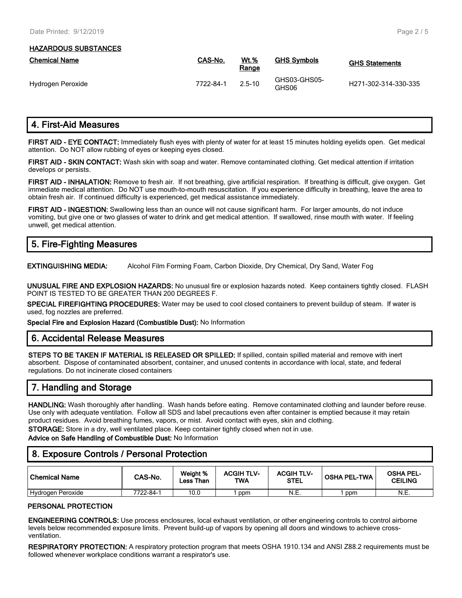#### **HAZARDOUS SUBSTANCES**

| <b>Chemical Name</b> | CAS-No.   | Wt.%<br>Range | <b>GHS Symbols</b>    | <b>GHS Statements</b>             |
|----------------------|-----------|---------------|-----------------------|-----------------------------------|
| Hydrogen Peroxide    | 7722-84-1 | $2.5 - 10$    | GHS03-GHS05-<br>GHS06 | H <sub>271</sub> -302-314-330-335 |

# **4. First-Aid Measures**

**FIRST AID - EYE CONTACT:** Immediately flush eyes with plenty of water for at least 15 minutes holding eyelids open. Get medical attention. Do NOT allow rubbing of eyes or keeping eyes closed.

**FIRST AID - SKIN CONTACT:** Wash skin with soap and water. Remove contaminated clothing. Get medical attention if irritation develops or persists.

**FIRST AID - INHALATION:** Remove to fresh air. If not breathing, give artificial respiration. If breathing is difficult, give oxygen. Get immediate medical attention. Do NOT use mouth-to-mouth resuscitation. If you experience difficulty in breathing, leave the area to obtain fresh air. If continued difficulty is experienced, get medical assistance immediately.

**FIRST AID - INGESTION:** Swallowing less than an ounce will not cause significant harm. For larger amounts, do not induce vomiting, but give one or two glasses of water to drink and get medical attention. If swallowed, rinse mouth with water. If feeling unwell, get medical attention.

# **5. Fire-Fighting Measures**

**EXTINGUISHING MEDIA:** Alcohol Film Forming Foam, Carbon Dioxide, Dry Chemical, Dry Sand, Water Fog

**UNUSUAL FIRE AND EXPLOSION HAZARDS:** No unusual fire or explosion hazards noted. Keep containers tightly closed. FLASH POINT IS TESTED TO BE GREATER THAN 200 DEGREES F.

**SPECIAL FIREFIGHTING PROCEDURES:** Water may be used to cool closed containers to prevent buildup of steam. If water is used, fog nozzles are preferred.

**Special Fire and Explosion Hazard (Combustible Dust):** No Information

### **6. Accidental Release Measures**

**STEPS TO BE TAKEN IF MATERIAL IS RELEASED OR SPILLED:** If spilled, contain spilled material and remove with inert absorbent. Dispose of contaminated absorbent, container, and unused contents in accordance with local, state, and federal regulations. Do not incinerate closed containers

# **7. Handling and Storage**

**HANDLING:** Wash thoroughly after handling. Wash hands before eating. Remove contaminated clothing and launder before reuse. Use only with adequate ventilation. Follow all SDS and label precautions even after container is emptied because it may retain product residues. Avoid breathing fumes, vapors, or mist. Avoid contact with eyes, skin and clothing.

**STORAGE:** Store in a dry, well ventilated place. Keep container tightly closed when not in use.

**Advice on Safe Handling of Combustible Dust:** No Information

# **8. Exposure Controls / Personal Protection**

| <b>Chemical Name</b> | CAS-No.   | Weight %<br>Less Than | <b>ACGIH TLV-</b><br>TWA | <b>ACGIH TLV-</b><br><b>STEL</b> | <b>OSHA PEL-TWA</b> | <b>OSHA PEL-</b><br><b>CEILING</b> |
|----------------------|-----------|-----------------------|--------------------------|----------------------------------|---------------------|------------------------------------|
| Hydrogen Peroxide    | 7722-84-1 | 10.0                  | ppm                      | N.E.                             | ppm                 | N.E.                               |

### **PERSONAL PROTECTION**

**ENGINEERING CONTROLS:** Use process enclosures, local exhaust ventilation, or other engineering controls to control airborne levels below recommended exposure limits. Prevent build-up of vapors by opening all doors and windows to achieve crossventilation.

**RESPIRATORY PROTECTION:** A respiratory protection program that meets OSHA 1910.134 and ANSI Z88.2 requirements must be followed whenever workplace conditions warrant a respirator's use.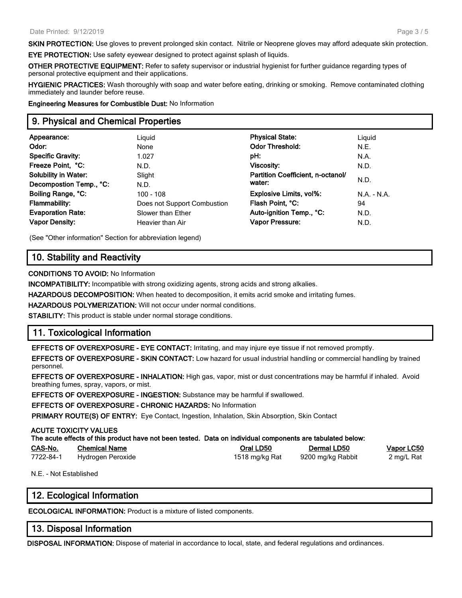**SKIN PROTECTION:** Use gloves to prevent prolonged skin contact. Nitrile or Neoprene gloves may afford adequate skin protection.

**EYE PROTECTION:** Use safety eyewear designed to protect against splash of liquids.

**OTHER PROTECTIVE EQUIPMENT:** Refer to safety supervisor or industrial hygienist for further guidance regarding types of personal protective equipment and their applications.

**HYGIENIC PRACTICES:** Wash thoroughly with soap and water before eating, drinking or smoking. Remove contaminated clothing immediately and launder before reuse.

**Engineering Measures for Combustible Dust:** No Information

### **9. Physical and Chemical Properties**

| Appearance:                 | Liguid                      | <b>Physical State:</b>            | Liguid        |
|-----------------------------|-----------------------------|-----------------------------------|---------------|
| Odor:                       | None                        | <b>Odor Threshold:</b>            | N.E.          |
| <b>Specific Gravity:</b>    | 1.027                       | pH:                               | N.A.          |
| Freeze Point, °C:           | N.D.                        | <b>Viscosity:</b>                 | N.D.          |
| <b>Solubility in Water:</b> | Slight                      | Partition Coefficient, n-octanol/ |               |
| Decompostion Temp., °C:     | N.D.                        | water:                            | N.D.          |
| Boiling Range, °C:          | $100 - 108$                 | <b>Explosive Limits, vol%:</b>    | $N.A. - N.A.$ |
| <b>Flammability:</b>        | Does not Support Combustion | Flash Point, °C:                  | 94            |
| <b>Evaporation Rate:</b>    | Slower than Ether           | Auto-ignition Temp., °C:          | N.D.          |
| <b>Vapor Density:</b>       | Heavier than Air            | <b>Vapor Pressure:</b>            | N.D.          |
|                             |                             |                                   |               |

(See "Other information" Section for abbreviation legend)

### **10. Stability and Reactivity**

#### **CONDITIONS TO AVOID:** No Information

**INCOMPATIBILITY:** Incompatible with strong oxidizing agents, strong acids and strong alkalies.

**HAZARDOUS DECOMPOSITION:** When heated to decomposition, it emits acrid smoke and irritating fumes.

**HAZARDOUS POLYMERIZATION:** Will not occur under normal conditions.

**STABILITY:** This product is stable under normal storage conditions.

### **11. Toxicological Information**

**EFFECTS OF OVEREXPOSURE - EYE CONTACT:** Irritating, and may injure eye tissue if not removed promptly.

**EFFECTS OF OVEREXPOSURE - SKIN CONTACT:** Low hazard for usual industrial handling or commercial handling by trained personnel.

**EFFECTS OF OVEREXPOSURE - INHALATION:** High gas, vapor, mist or dust concentrations may be harmful if inhaled. Avoid breathing fumes, spray, vapors, or mist.

**EFFECTS OF OVEREXPOSURE - INGESTION:** Substance may be harmful if swallowed.

**EFFECTS OF OVEREXPOSURE - CHRONIC HAZARDS:** No Information

**PRIMARY ROUTE(S) OF ENTRY:** Eye Contact, Ingestion, Inhalation, Skin Absorption, Skin Contact

#### **ACUTE TOXICITY VALUES**

**The acute effects of this product have not been tested. Data on individual components are tabulated below:**

| CAS-No.   | <b>Chemical Name</b> | Oral LD50      | Dermal LD50       | <b>Vapor LC50</b> |
|-----------|----------------------|----------------|-------------------|-------------------|
| 7722-84-1 | Hydrogen Peroxide    | 1518 mg/kg Rat | 9200 mg/kg Rabbit | 2 mg/L Rat        |

N.E. - Not Established

### **12. Ecological Information**

**ECOLOGICAL INFORMATION:** Product is a mixture of listed components.

### **13. Disposal Information**

**DISPOSAL INFORMATION:** Dispose of material in accordance to local, state, and federal regulations and ordinances.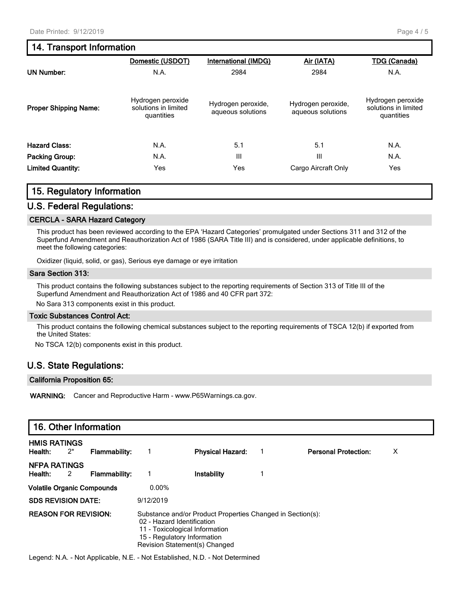# **14. Transport Information**

|                              | Domestic (USDOT)                                        | <b>International (IMDG)</b>             | Air (IATA)                              | TDG (Canada)                                            |
|------------------------------|---------------------------------------------------------|-----------------------------------------|-----------------------------------------|---------------------------------------------------------|
| <b>UN Number:</b>            | N.A.                                                    | 2984                                    | 2984                                    | N.A.                                                    |
| <b>Proper Shipping Name:</b> | Hydrogen peroxide<br>solutions in limited<br>quantities | Hydrogen peroxide,<br>aqueous solutions | Hydrogen peroxide,<br>aqueous solutions | Hydrogen peroxide<br>solutions in limited<br>quantities |
| <b>Hazard Class:</b>         | N.A.                                                    | 5.1                                     | 5.1                                     | N.A.                                                    |
| <b>Packing Group:</b>        | N.A.                                                    | Ш                                       | Ш                                       | N.A.                                                    |
| <b>Limited Quantity:</b>     | Yes                                                     | Yes                                     | Cargo Aircraft Only                     | Yes                                                     |

# **15. Regulatory Information**

### **U.S. Federal Regulations:**

### **CERCLA - SARA Hazard Category**

This product has been reviewed according to the EPA 'Hazard Categories' promulgated under Sections 311 and 312 of the Superfund Amendment and Reauthorization Act of 1986 (SARA Title III) and is considered, under applicable definitions, to meet the following categories:

Oxidizer (liquid, solid, or gas), Serious eye damage or eye irritation

### **Sara Section 313:**

This product contains the following substances subject to the reporting requirements of Section 313 of Title III of the Superfund Amendment and Reauthorization Act of 1986 and 40 CFR part 372:

No Sara 313 components exist in this product.

#### **Toxic Substances Control Act:**

This product contains the following chemical substances subject to the reporting requirements of TSCA 12(b) if exported from the United States:

No TSCA 12(b) components exist in this product.

### **U.S. State Regulations:**

#### **California Proposition 65:**

**WARNING:** Cancer and Reproductive Harm - www.P65Warnings.ca.gov.

| 16. Other Information                   |               |                                                                                                                                                                                            |                         |  |                             |   |
|-----------------------------------------|---------------|--------------------------------------------------------------------------------------------------------------------------------------------------------------------------------------------|-------------------------|--|-----------------------------|---|
| <b>HMIS RATINGS</b><br>Health:<br>$2^*$ | Flammability: |                                                                                                                                                                                            | <b>Physical Hazard:</b> |  | <b>Personal Protection:</b> | X |
| <b>NFPA RATINGS</b><br>Health:<br>2     | Flammability: |                                                                                                                                                                                            | Instability             |  |                             |   |
| <b>Volatile Organic Compounds</b>       |               | $0.00\%$                                                                                                                                                                                   |                         |  |                             |   |
| <b>SDS REVISION DATE:</b>               |               | 9/12/2019                                                                                                                                                                                  |                         |  |                             |   |
| <b>REASON FOR REVISION:</b>             |               | Substance and/or Product Properties Changed in Section(s):<br>02 - Hazard Identification<br>11 - Toxicological Information<br>15 - Regulatory Information<br>Revision Statement(s) Changed |                         |  |                             |   |